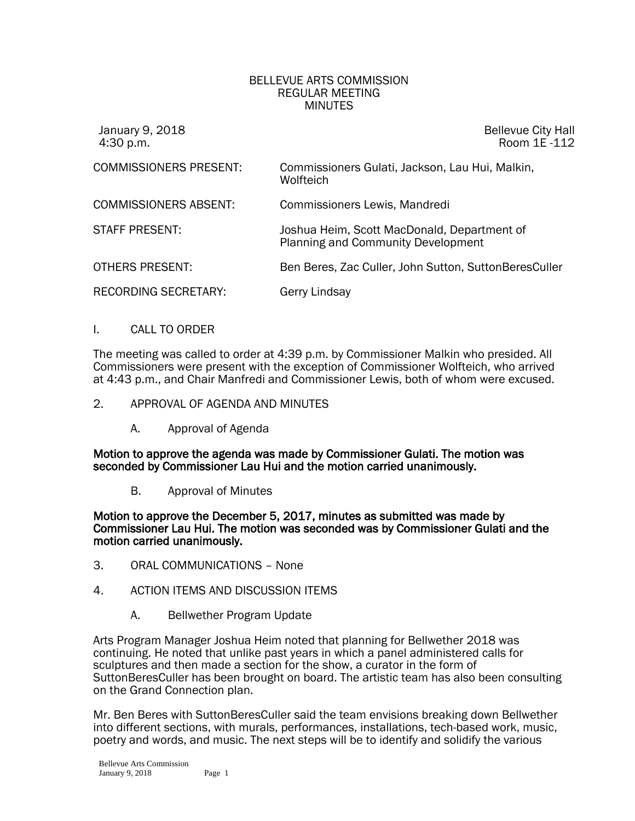## BELLEVUE ARTS COMMISSION REGULAR MEETING MINUTES

| January 9, 2018<br>4:30 p.m.  | <b>Bellevue City Hall</b><br>Room 1E -112                                                |
|-------------------------------|------------------------------------------------------------------------------------------|
| <b>COMMISSIONERS PRESENT:</b> | Commissioners Gulati, Jackson, Lau Hui, Malkin,<br>Wolfteich                             |
| <b>COMMISSIONERS ABSENT:</b>  | Commissioners Lewis, Mandredi                                                            |
| <b>STAFF PRESENT:</b>         | Joshua Heim, Scott MacDonald, Department of<br><b>Planning and Community Development</b> |
| <b>OTHERS PRESENT:</b>        | Ben Beres, Zac Culler, John Sutton, SuttonBeresCuller                                    |
| <b>RECORDING SECRETARY:</b>   | Gerry Lindsay                                                                            |

## I. CALL TO ORDER

The meeting was called to order at 4:39 p.m. by Commissioner Malkin who presided. All Commissioners were present with the exception of Commissioner Wolfteich, who arrived at 4:43 p.m., and Chair Manfredi and Commissioner Lewis, both of whom were excused.

- 2. APPROVAL OF AGENDA AND MINUTES
	- A. Approval of Agenda

Motion to approve the agenda was made by Commissioner Gulati. The motion was seconded by Commissioner Lau Hui and the motion carried unanimously.

B. Approval of Minutes

Motion to approve the December 5, 2017, minutes as submitted was made by Commissioner Lau Hui. The motion was seconded was by Commissioner Gulati and the motion carried unanimously.

- 3. ORAL COMMUNICATIONS None
- 4. ACTION ITEMS AND DISCUSSION ITEMS
	- A. Bellwether Program Update

Arts Program Manager Joshua Heim noted that planning for Bellwether 2018 was continuing. He noted that unlike past years in which a panel administered calls for sculptures and then made a section for the show, a curator in the form of SuttonBeresCuller has been brought on board. The artistic team has also been consulting on the Grand Connection plan.

Mr. Ben Beres with SuttonBeresCuller said the team envisions breaking down Bellwether into different sections, with murals, performances, installations, tech-based work, music, poetry and words, and music. The next steps will be to identify and solidify the various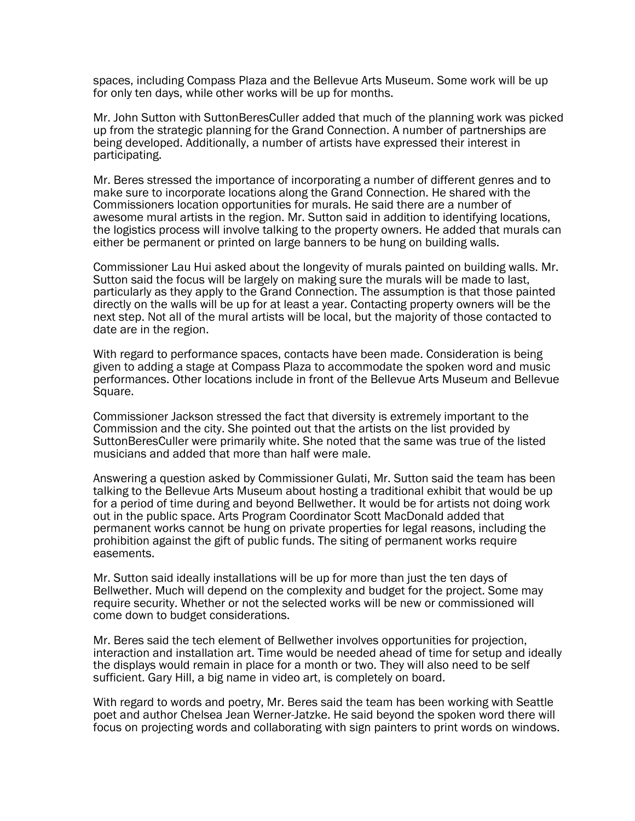spaces, including Compass Plaza and the Bellevue Arts Museum. Some work will be up for only ten days, while other works will be up for months.

Mr. John Sutton with SuttonBeresCuller added that much of the planning work was picked up from the strategic planning for the Grand Connection. A number of partnerships are being developed. Additionally, a number of artists have expressed their interest in participating.

Mr. Beres stressed the importance of incorporating a number of different genres and to make sure to incorporate locations along the Grand Connection. He shared with the Commissioners location opportunities for murals. He said there are a number of awesome mural artists in the region. Mr. Sutton said in addition to identifying locations, the logistics process will involve talking to the property owners. He added that murals can either be permanent or printed on large banners to be hung on building walls.

Commissioner Lau Hui asked about the longevity of murals painted on building walls. Mr. Sutton said the focus will be largely on making sure the murals will be made to last, particularly as they apply to the Grand Connection. The assumption is that those painted directly on the walls will be up for at least a year. Contacting property owners will be the next step. Not all of the mural artists will be local, but the majority of those contacted to date are in the region.

With regard to performance spaces, contacts have been made. Consideration is being given to adding a stage at Compass Plaza to accommodate the spoken word and music performances. Other locations include in front of the Bellevue Arts Museum and Bellevue Square.

Commissioner Jackson stressed the fact that diversity is extremely important to the Commission and the city. She pointed out that the artists on the list provided by SuttonBeresCuller were primarily white. She noted that the same was true of the listed musicians and added that more than half were male.

Answering a question asked by Commissioner Gulati, Mr. Sutton said the team has been talking to the Bellevue Arts Museum about hosting a traditional exhibit that would be up for a period of time during and beyond Bellwether. It would be for artists not doing work out in the public space. Arts Program Coordinator Scott MacDonald added that permanent works cannot be hung on private properties for legal reasons, including the prohibition against the gift of public funds. The siting of permanent works require easements.

Mr. Sutton said ideally installations will be up for more than just the ten days of Bellwether. Much will depend on the complexity and budget for the project. Some may require security. Whether or not the selected works will be new or commissioned will come down to budget considerations.

Mr. Beres said the tech element of Bellwether involves opportunities for projection, interaction and installation art. Time would be needed ahead of time for setup and ideally the displays would remain in place for a month or two. They will also need to be self sufficient. Gary Hill, a big name in video art, is completely on board.

With regard to words and poetry, Mr. Beres said the team has been working with Seattle poet and author Chelsea Jean Werner-Jatzke. He said beyond the spoken word there will focus on projecting words and collaborating with sign painters to print words on windows.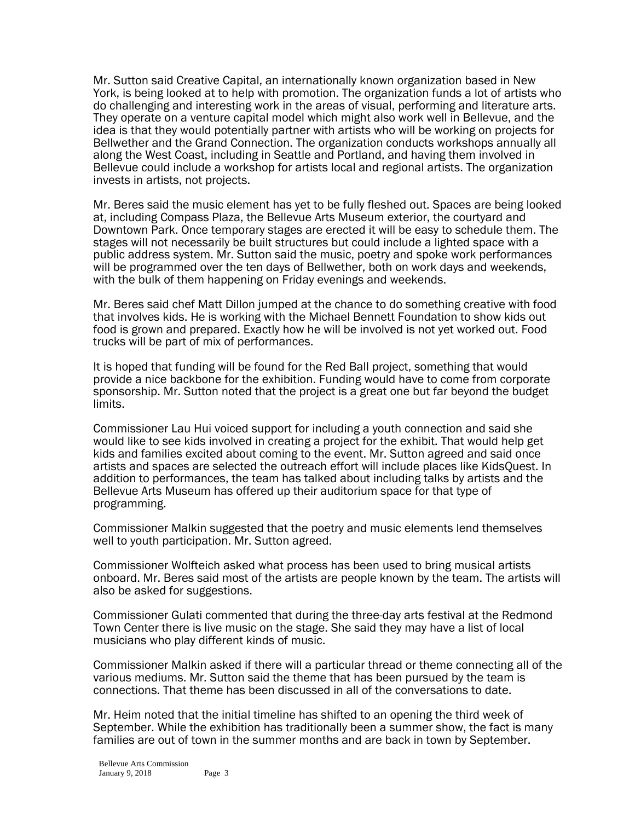Mr. Sutton said Creative Capital, an internationally known organization based in New York, is being looked at to help with promotion. The organization funds a lot of artists who do challenging and interesting work in the areas of visual, performing and literature arts. They operate on a venture capital model which might also work well in Bellevue, and the idea is that they would potentially partner with artists who will be working on projects for Bellwether and the Grand Connection. The organization conducts workshops annually all along the West Coast, including in Seattle and Portland, and having them involved in Bellevue could include a workshop for artists local and regional artists. The organization invests in artists, not projects.

Mr. Beres said the music element has yet to be fully fleshed out. Spaces are being looked at, including Compass Plaza, the Bellevue Arts Museum exterior, the courtyard and Downtown Park. Once temporary stages are erected it will be easy to schedule them. The stages will not necessarily be built structures but could include a lighted space with a public address system. Mr. Sutton said the music, poetry and spoke work performances will be programmed over the ten days of Bellwether, both on work days and weekends, with the bulk of them happening on Friday evenings and weekends.

Mr. Beres said chef Matt Dillon jumped at the chance to do something creative with food that involves kids. He is working with the Michael Bennett Foundation to show kids out food is grown and prepared. Exactly how he will be involved is not yet worked out. Food trucks will be part of mix of performances.

It is hoped that funding will be found for the Red Ball project, something that would provide a nice backbone for the exhibition. Funding would have to come from corporate sponsorship. Mr. Sutton noted that the project is a great one but far beyond the budget limits.

Commissioner Lau Hui voiced support for including a youth connection and said she would like to see kids involved in creating a project for the exhibit. That would help get kids and families excited about coming to the event. Mr. Sutton agreed and said once artists and spaces are selected the outreach effort will include places like KidsQuest. In addition to performances, the team has talked about including talks by artists and the Bellevue Arts Museum has offered up their auditorium space for that type of programming.

Commissioner Malkin suggested that the poetry and music elements lend themselves well to youth participation. Mr. Sutton agreed.

Commissioner Wolfteich asked what process has been used to bring musical artists onboard. Mr. Beres said most of the artists are people known by the team. The artists will also be asked for suggestions.

Commissioner Gulati commented that during the three-day arts festival at the Redmond Town Center there is live music on the stage. She said they may have a list of local musicians who play different kinds of music.

Commissioner Malkin asked if there will a particular thread or theme connecting all of the various mediums. Mr. Sutton said the theme that has been pursued by the team is connections. That theme has been discussed in all of the conversations to date.

Mr. Heim noted that the initial timeline has shifted to an opening the third week of September. While the exhibition has traditionally been a summer show, the fact is many families are out of town in the summer months and are back in town by September.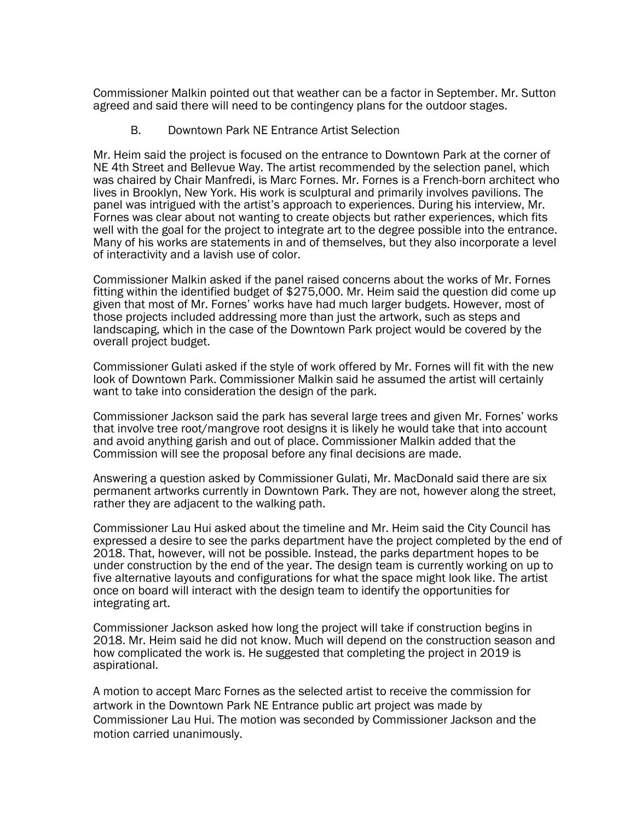Commissioner Malkin pointed out that weather can be a factor in September. Mr. Sutton agreed and said there will need to be contingency plans for the outdoor stages.

B. Downtown Park NE Entrance Artist Selection

Mr. Heim said the project is focused on the entrance to Downtown Park at the corner of NE 4th Street and Bellevue Way. The artist recommended by the selection panel, which was chaired by Chair Manfredi, is Marc Fornes. Mr. Fornes is a French-born architect who lives in Brooklyn, New York. His work is sculptural and primarily involves pavilions. The panel was intrigued with the artist's approach to experiences. During his interview, Mr. Fornes was clear about not wanting to create objects but rather experiences, which fits well with the goal for the project to integrate art to the degree possible into the entrance. Many of his works are statements in and of themselves, but they also incorporate a level of interactivity and a lavish use of color.

Commissioner Malkin asked if the panel raised concerns about the works of Mr. Fornes fitting within the identified budget of \$275,000. Mr. Heim said the question did come up given that most of Mr. Fornes' works have had much larger budgets. However, most of those projects included addressing more than just the artwork, such as steps and landscaping, which in the case of the Downtown Park project would be covered by the overall project budget.

Commissioner Gulati asked if the style of work offered by Mr. Fornes will fit with the new look of Downtown Park. Commissioner Malkin said he assumed the artist will certainly want to take into consideration the design of the park.

Commissioner Jackson said the park has several large trees and given Mr. Fornes' works that involve tree root/mangrove root designs it is likely he would take that into account and avoid anything garish and out of place. Commissioner Malkin added that the Commission will see the proposal before any final decisions are made.

Answering a question asked by Commissioner Gulati, Mr. MacDonald said there are six permanent artworks currently in Downtown Park. They are not, however along the street, rather they are adjacent to the walking path.

Commissioner Lau Hui asked about the timeline and Mr. Heim said the City Council has expressed a desire to see the parks department have the project completed by the end of 2018. That, however, will not be possible. Instead, the parks department hopes to be under construction by the end of the year. The design team is currently working on up to five alternative layouts and configurations for what the space might look like. The artist once on board will interact with the design team to identify the opportunities for integrating art.

Commissioner Jackson asked how long the project will take if construction begins in 2018. Mr. Heim said he did not know. Much will depend on the construction season and how complicated the work is. He suggested that completing the project in 2019 is aspirational.

A motion to accept Marc Fornes as the selected artist to receive the commission for artwork in the Downtown Park NE Entrance public art project was made by Commissioner Lau Hui. The motion was seconded by Commissioner Jackson and the motion carried unanimously.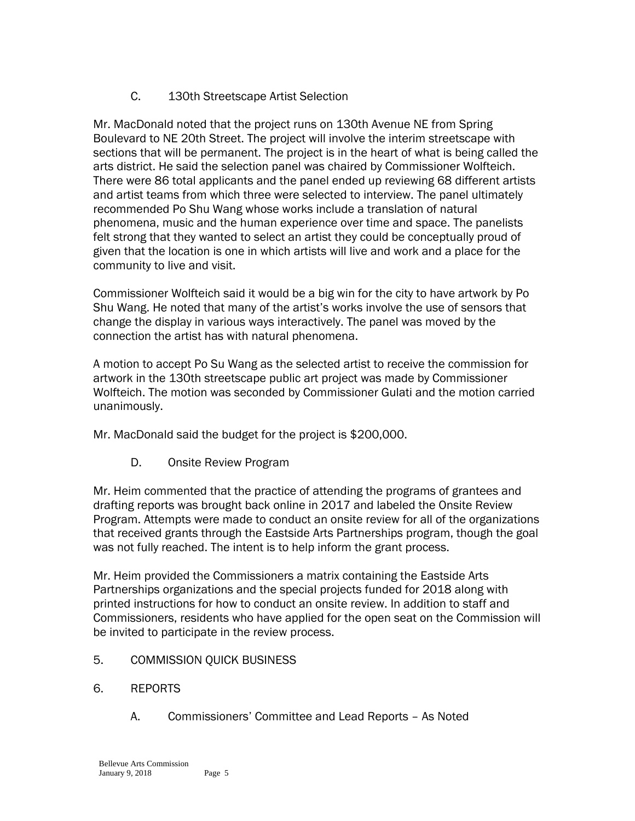## C. 130th Streetscape Artist Selection

Mr. MacDonald noted that the project runs on 130th Avenue NE from Spring Boulevard to NE 20th Street. The project will involve the interim streetscape with sections that will be permanent. The project is in the heart of what is being called the arts district. He said the selection panel was chaired by Commissioner Wolfteich. There were 86 total applicants and the panel ended up reviewing 68 different artists and artist teams from which three were selected to interview. The panel ultimately recommended Po Shu Wang whose works include a translation of natural phenomena, music and the human experience over time and space. The panelists felt strong that they wanted to select an artist they could be conceptually proud of given that the location is one in which artists will live and work and a place for the community to live and visit.

Commissioner Wolfteich said it would be a big win for the city to have artwork by Po Shu Wang. He noted that many of the artist's works involve the use of sensors that change the display in various ways interactively. The panel was moved by the connection the artist has with natural phenomena.

A motion to accept Po Su Wang as the selected artist to receive the commission for artwork in the 130th streetscape public art project was made by Commissioner Wolfteich. The motion was seconded by Commissioner Gulati and the motion carried unanimously.

Mr. MacDonald said the budget for the project is \$200,000.

D. Onsite Review Program

Mr. Heim commented that the practice of attending the programs of grantees and drafting reports was brought back online in 2017 and labeled the Onsite Review Program. Attempts were made to conduct an onsite review for all of the organizations that received grants through the Eastside Arts Partnerships program, though the goal was not fully reached. The intent is to help inform the grant process.

Mr. Heim provided the Commissioners a matrix containing the Eastside Arts Partnerships organizations and the special projects funded for 2018 along with printed instructions for how to conduct an onsite review. In addition to staff and Commissioners, residents who have applied for the open seat on the Commission will be invited to participate in the review process.

- 5. COMMISSION QUICK BUSINESS
- 6. REPORTS
	- A. Commissioners' Committee and Lead Reports As Noted